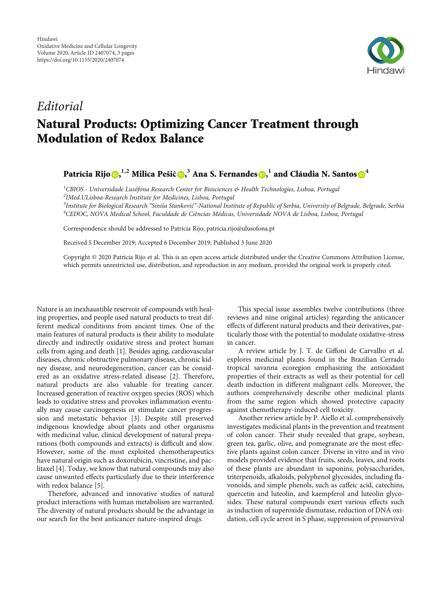

## Editorial Natural Products: Optimizing Cancer Treatment through Modulation of Redox Balance

Patrícia Rijo $\mathbf{0},^{1,2}$  $\mathbf{0},^{1,2}$  $\mathbf{0},^{1,2}$  Milica Pešić $\mathbf{0},^3$  Ana S. Fernandes $\mathbf{0},^1$  and Cláudia N. Santos $\mathbf{0}^4$  $\mathbf{0}^4$ 

 ${}^{1}$ CBIOS - Universidade Lusófona Research Center for Biosciences & Health Technologies, Lisboa, Portugal

2 IMed.ULisboa-Research Institute for Medicines, Lisboa, Portugal

<sup>3</sup>Institute for Biological Research "Siniša Stanković"-National Institute of Republic of Serbia, University of Belgrade, Belgrade, Serbia<br><sup>4</sup>CEDOC, NOVA, Medical School, Faculdade de Ciências Médicas, Universidade NOVA de <sup>4</sup>CEDOC, NOVA Medical School, Faculdade de Ciências Médicas, Universidade NOVA de Lisboa, Lisboa, Portugal

Correspondence should be addressed to Patrícia Rijo; patricia.rijo@ulusofona.pt

Received 5 December 2019; Accepted 6 December 2019; Published 3 June 2020

Copyright © 2020 Patrícia Rijo et al. This is an open access article distributed under the [Creative Commons Attribution License](https://creativecommons.org/licenses/by/4.0/), which permits unrestricted use, distribution, and reproduction in any medium, provided the original work is properly cited.

Nature is an inexhaustible reservoir of compounds with healing properties, and people used natural products to treat different medical conditions from ancient times. One of the main features of natural products is their ability to modulate directly and indirectly oxidative stress and protect human cells from aging and death [\[1\]](#page-2-0). Besides aging, cardiovascular diseases, chronic obstructive pulmonary disease, chronic kidney disease, and neurodegeneration, cancer can be considered as an oxidative stress-related disease [\[2](#page-2-0)]. Therefore, natural products are also valuable for treating cancer. Increased generation of reactive oxygen species (ROS) which leads to oxidative stress and provokes inflammation eventually may cause carcinogenesis or stimulate cancer progression and metastatic behavior [[3\]](#page-2-0). Despite still preserved indigenous knowledge about plants and other organisms with medicinal value, clinical development of natural preparations (both compounds and extracts) is difficult and slow. However, some of the most exploited chemotherapeutics have natural origin such as doxorubicin, vincristine, and paclitaxel [\[4](#page-2-0)]. Today, we know that natural compounds may also cause unwanted effects particularly due to their interference with redox balance [\[5\]](#page-2-0).

Therefore, advanced and innovative studies of natural product interactions with human metabolism are warranted. The diversity of natural products should be the advantage in our search for the best anticancer nature-inspired drugs.

This special issue assembles twelve contributions (three reviews and nine original articles) regarding the anticancer effects of different natural products and their derivatives, particularly those with the potential to modulate oxidative-stress in cancer.

A review article by J. T. de Giffoni de Carvalho et al. explores medicinal plants found in the Brazilian Cerrado tropical savanna ecoregion emphasizing the antioxidant properties of their extracts as well as their potential for cell death induction in different malignant cells. Moreover, the authors comprehensively describe other medicinal plants from the same region which showed protective capacity against chemotherapy-induced cell toxicity.

Another review article by P. Aiello et al. comprehensively investigates medicinal plants in the prevention and treatment of colon cancer. Their study revealed that grape, soybean, green tea, garlic, olive, and pomegranate are the most effective plants against colon cancer. Diverse in vitro and in vivo models provided evidence that fruits, seeds, leaves, and roots of these plants are abundant in saponins, polysaccharides, triterpenoids, alkaloids, polyphenol glycosides, including flavonoids, and simple phenols, such as caffeic acid, catechins, quercetin and luteolin, and kaempferol and luteolin glycosides. These natural compounds exert various effects such as induction of superoxide dismutase, reduction of DNA oxidation, cell cycle arrest in S phase, suppression of prosurvival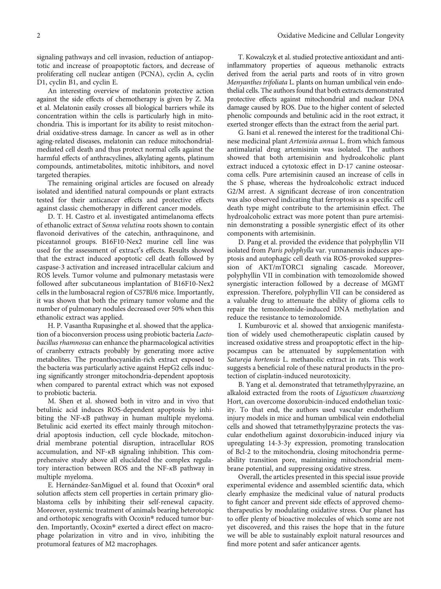signaling pathways and cell invasion, reduction of antiapoptotic and increase of proapoptotic factors, and decrease of proliferating cell nuclear antigen (PCNA), cyclin A, cyclin D1, cyclin B1, and cyclin E.

An interesting overview of melatonin protective action against the side effects of chemotherapy is given by Z. Ma et al. Melatonin easily crosses all biological barriers while its concentration within the cells is particularly high in mitochondria. This is important for its ability to resist mitochondrial oxidative-stress damage. In cancer as well as in other aging-related diseases, melatonin can reduce mitochondrialmediated cell death and thus protect normal cells against the harmful effects of anthracyclines, alkylating agents, platinum compounds, antimetabolites, mitotic inhibitors, and novel targeted therapies.

The remaining original articles are focused on already isolated and identified natural compounds or plant extracts tested for their anticancer effects and protective effects against classic chemotherapy in different cancer models.

D. T. H. Castro et al. investigated antimelanoma effects of ethanolic extract of Senna velutina roots shown to contain flavonoid derivatives of the catechin, anthraquinone, and piceatannol groups. B16F10-Nex2 murine cell line was used for the assessment of extract's effects. Results showed that the extract induced apoptotic cell death followed by caspase-3 activation and increased intracellular calcium and ROS levels. Tumor volume and pulmonary metastasis were followed after subcutaneous implantation of B16F10-Nex2 cells in the lumbosacral region of C57Bl/6 mice. Importantly, it was shown that both the primary tumor volume and the number of pulmonary nodules decreased over 50% when this ethanolic extract was applied.

H. P. Vasantha Rupasinghe et al. showed that the application of a bioconversion process using probiotic bacteria Lactobacillus rhamnosus can enhance the pharmacological activities of cranberry extracts probably by generating more active metabolites. The proanthocyanidin-rich extract exposed to the bacteria was particularly active against HepG2 cells inducing significantly stronger mitochondria-dependent apoptosis when compared to parental extract which was not exposed to probiotic bacteria.

M. Shen et al. showed both in vitro and in vivo that betulinic acid induces ROS-dependent apoptosis by inhibiting the NF-*κ*B pathway in human multiple myeloma. Betulinic acid exerted its effect mainly through mitochondrial apoptosis induction, cell cycle blockade, mitochondrial membrane potential disruption, intracellular ROS accumulation, and NF-*κ*B signaling inhibition. This comprehensive study above all elucidated the complex regulatory interaction between ROS and the NF-*κ*B pathway in multiple myeloma.

E. Hernández-SanMiguel et al. found that Ocoxin® oral solution affects stem cell properties in certain primary glioblastoma cells by inhibiting their self-renewal capacity. Moreover, systemic treatment of animals bearing heterotopic and orthotopic xenografts with Ocoxin® reduced tumor burden. Importantly, Ocoxin® exerted a direct effect on macrophage polarization in vitro and in vivo, inhibiting the protumoral features of M2 macrophages.

T. Kowalczyk et al. studied protective antioxidant and antiinflammatory properties of aqueous methanolic extracts derived from the aerial parts and roots of in vitro grown Menyanthes trifoliata L. plants on human umbilical vein endothelial cells. The authors found that both extracts demonstrated protective effects against mitochondrial and nuclear DNA damage caused by ROS. Due to the higher content of selected phenolic compounds and betulinic acid in the root extract, it exerted stronger effects than the extract from the aerial part.

G. Isani et al. renewed the interest for the traditional Chinese medicinal plant Artemisia annua L. from which famous antimalarial drug artemisinin was isolated. The authors showed that both artemisinin and hydroalcoholic plant extract induced a cytotoxic effect in D-17 canine osteosarcoma cells. Pure artemisinin caused an increase of cells in the S phase, whereas the hydroalcoholic extract induced G2/M arrest. A significant decrease of iron concentration was also observed indicating that ferroptosis as a specific cell death type might contribute to the artemisinin effect. The hydroalcoholic extract was more potent than pure artemisinin demonstrating a possible synergistic effect of its other components with artemisinin.

D. Pang et al. provided the evidence that polyphyllin VII isolated from Paris polyphylla var. yunnanensis induces apoptosis and autophagic cell death via ROS-provoked suppression of AKT/mTORC1 signaling cascade. Moreover, polyphyllin VII in combination with temozolomide showed synergistic interaction followed by a decrease of MGMT expression. Therefore, polyphyllin VII can be considered as a valuable drug to attenuate the ability of glioma cells to repair the temozolomide-induced DNA methylation and reduce the resistance to temozolomide.

I. Kumburovic et al. showed that anxiogenic manifestation of widely used chemotherapeutic cisplatin caused by increased oxidative stress and proapoptotic effect in the hippocampus can be attenuated by supplementation with Satureja hortensis L. methanolic extract in rats. This work suggests a beneficial role of these natural products in the protection of cisplatin-induced neurotoxicity.

B. Yang et al. demonstrated that tetramethylpyrazine, an alkaloid extracted from the roots of Ligusticum chuanxiong Hort, can overcome doxorubicin-induced endothelian toxicity. To that end, the authors used vascular endothelium injury models in mice and human umbilical vein endothelial cells and showed that tetramethylpyrazine protects the vascular endothelium against doxorubicin-induced injury via upregulating 14-3-3*γ* expression, promoting translocation of Bcl-2 to the mitochondria, closing mitochondria permeability transition pore, maintaining mitochondrial membrane potential, and suppressing oxidative stress.

Overall, the articles presented in this special issue provide experimental evidence and assembled scientific data, which clearly emphasize the medicinal value of natural products to fight cancer and prevent side effects of approved chemotherapeutics by modulating oxidative stress. Our planet has to offer plenty of bioactive molecules of which some are not yet discovered, and this raises the hope that in the future we will be able to sustainably exploit natural resources and find more potent and safer anticancer agents.